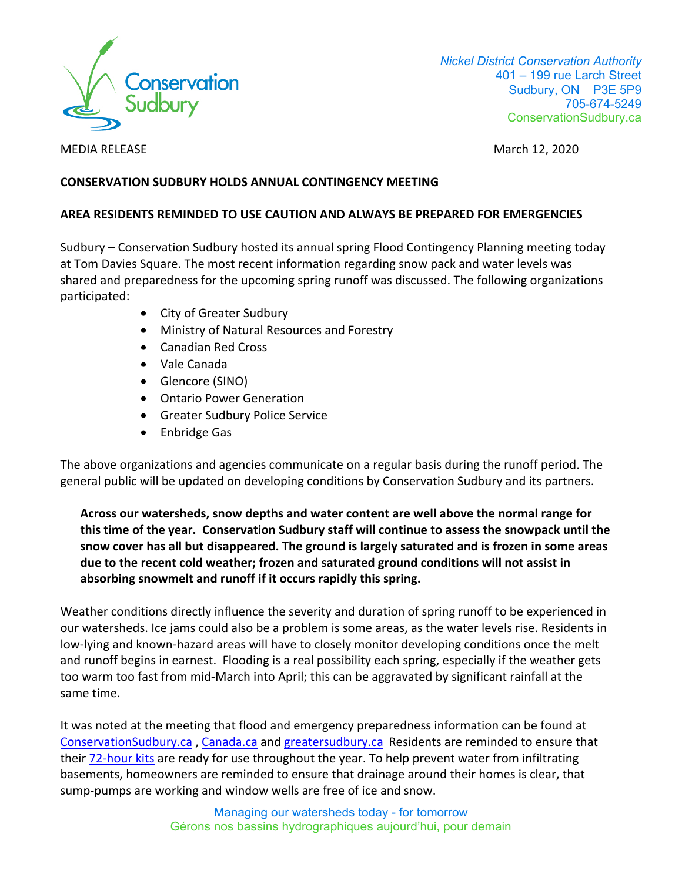

 *Nickel District Conservation Authority* 401 – 199 rue Larch Street Sudbury, ON P3E 5P9 705-674-5249 ConservationSudbury.ca

MEDIA RELEASEMarch 12, 2020

## **CONSERVATION SUDBURY HOLDS ANNUAL CONTINGENCY MEETING**

## **AREA RESIDENTS REMINDED TO USE CAUTION AND ALWAYS BE PREPARED FOR EMERGENCIES**

Sudbury – Conservation Sudbury hosted its annual spring Flood Contingency Planning meeting today at Tom Davies Square. The most recent information regarding snow pack and water levels was shared and preparedness for the upcoming spring runoff was discussed. The following organizations participated:

- City of Greater Sudbury
- Ministry of Natural Resources and Forestry
- Canadian Red Cross
- Vale Canada
- Glencore (SINO)
- Ontario Power Generation
- Greater Sudbury Police Service
- Enbridge Gas

The above organizations and agencies communicate on a regular basis during the runoff period. The general public will be updated on developing conditions by Conservation Sudbury and its partners.

**Across our watersheds, snow depths and water content are well above the normal range for this time of the year. Conservation Sudbury staff will continue to assess the snowpack until the snow cover has all but disappeared. The ground is largely saturated and is frozen in some areas due to the recent cold weather; frozen and saturated ground conditions will not assist in absorbing snowmelt and runoff if it occurs rapidly this spring.**

Weather conditions directly influence the severity and duration of spring runoff to be experienced in our watersheds. Ice jams could also be a problem is some areas, as the water levels rise. Residents in low-lying and known-hazard areas will have to closely monitor developing conditions once the melt and runoff begins in earnest. Flooding is a real possibility each spring, especially if the weather gets too warm too fast from mid-March into April; this can be aggravated by significant rainfall at the same time.

It was noted at the meeting that flood and emergency preparedness information can be found at ConservationSudbury.ca , Canada.ca and greatersudbury.ca Residents are reminded to ensure that their 72-hour kits are ready for use throughout the year. To help prevent water from infiltrating basements, homeowners are reminded to ensure that drainage around their homes is clear, that sump-pumps are working and window wells are free of ice and snow.

> Managing our watersheds today - for tomorrow Gérons nos bassins hydrographiques aujourd'hui, pour demain